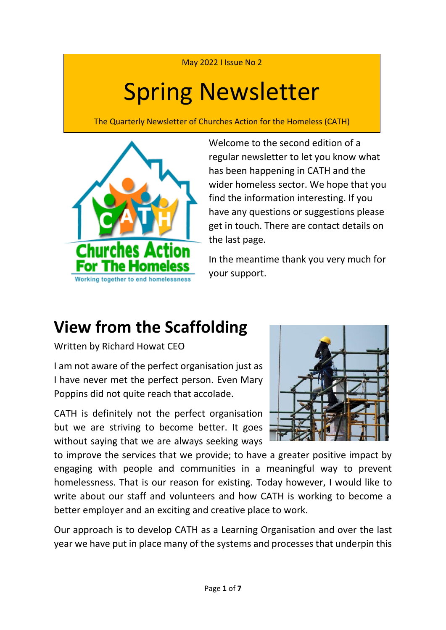May 2022 I Issue No 2

# Spring Newsletter

The Quarterly Newsletter of Churches Action for the Homeless (CATH)



Welcome to the second edition of a regular newsletter to let you know what has been happening in CATH and the wider homeless sector. We hope that you find the information interesting. If you have any questions or suggestions please get in touch. There are contact details on the last page.

In the meantime thank you very much for your support.

### **View from the Scaffolding**

Written by Richard Howat CEO

I am not aware of the perfect organisation just as I have never met the perfect person. Even Mary Poppins did not quite reach that accolade.

CATH is definitely not the perfect organisation but we are striving to become better. It goes without saying that we are always seeking ways



to improve the services that we provide; to have a greater positive impact by engaging with people and communities in a meaningful way to prevent homelessness. That is our reason for existing. Today however, I would like to write about our staff and volunteers and how CATH is working to become a better employer and an exciting and creative place to work.

Our approach is to develop CATH as a Learning Organisation and over the last year we have put in place many of the systems and processes that underpin this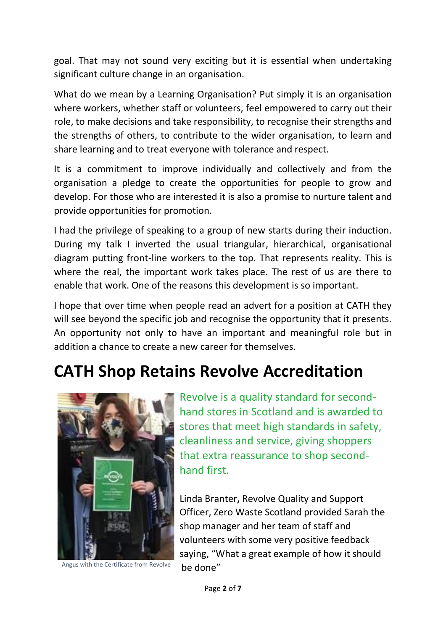goal. That may not sound very exciting but it is essential when undertaking significant culture change in an organisation.

What do we mean by a Learning Organisation? Put simply it is an organisation where workers, whether staff or volunteers, feel empowered to carry out their role, to make decisions and take responsibility, to recognise their strengths and the strengths of others, to contribute to the wider organisation, to learn and share learning and to treat everyone with tolerance and respect.

It is a commitment to improve individually and collectively and from the organisation a pledge to create the opportunities for people to grow and develop. For those who are interested it is also a promise to nurture talent and provide opportunities for promotion.

I had the privilege of speaking to a group of new starts during their induction. During my talk I inverted the usual triangular, hierarchical, organisational diagram putting front-line workers to the top. That represents reality. This is where the real, the important work takes place. The rest of us are there to enable that work. One of the reasons this development is so important.

I hope that over time when people read an advert for a position at CATH they will see beyond the specific job and recognise the opportunity that it presents. An opportunity not only to have an important and meaningful role but in addition a chance to create a new career for themselves.

#### **CATH Shop Retains Revolve Accreditation**



Angus with the Certificate from Revolve he done"

Revolve is a quality standard for secondhand stores in Scotland and is awarded to stores that meet high standards in safety, cleanliness and service, giving shoppers that extra reassurance to shop secondhand first.

Linda Branter**,** Revolve Quality and Support Officer, Zero Waste Scotland provided Sarah the shop manager and her team of staff and volunteers with some very positive feedback saying, "What a great example of how it should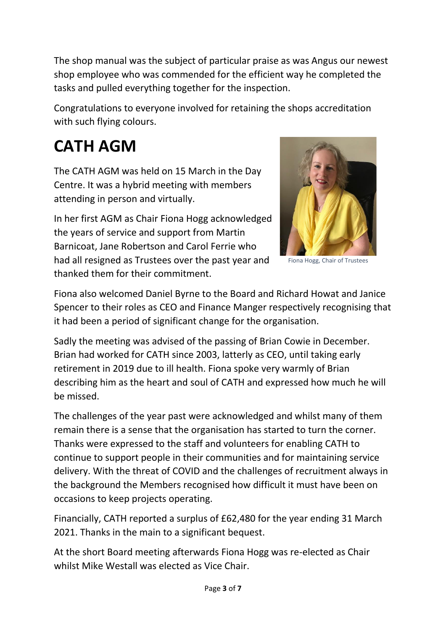The shop manual was the subject of particular praise as was Angus our newest shop employee who was commended for the efficient way he completed the tasks and pulled everything together for the inspection.

Congratulations to everyone involved for retaining the shops accreditation with such flying colours.

# **CATH AGM**

The CATH AGM was held on 15 March in the Day Centre. It was a hybrid meeting with members attending in person and virtually.

In her first AGM as Chair Fiona Hogg acknowledged the years of service and support from Martin Barnicoat, Jane Robertson and Carol Ferrie who had all resigned as Trustees over the past year and thanked them for their commitment.



Fiona Hogg, Chair of Trustees

Fiona also welcomed Daniel Byrne to the Board and Richard Howat and Janice Spencer to their roles as CEO and Finance Manger respectively recognising that it had been a period of significant change for the organisation.

Sadly the meeting was advised of the passing of Brian Cowie in December. Brian had worked for CATH since 2003, latterly as CEO, until taking early retirement in 2019 due to ill health. Fiona spoke very warmly of Brian describing him as the heart and soul of CATH and expressed how much he will be missed.

The challenges of the year past were acknowledged and whilst many of them remain there is a sense that the organisation has started to turn the corner. Thanks were expressed to the staff and volunteers for enabling CATH to continue to support people in their communities and for maintaining service delivery. With the threat of COVID and the challenges of recruitment always in the background the Members recognised how difficult it must have been on occasions to keep projects operating.

Financially, CATH reported a surplus of £62,480 for the year ending 31 March 2021. Thanks in the main to a significant bequest.

At the short Board meeting afterwards Fiona Hogg was re-elected as Chair whilst Mike Westall was elected as Vice Chair.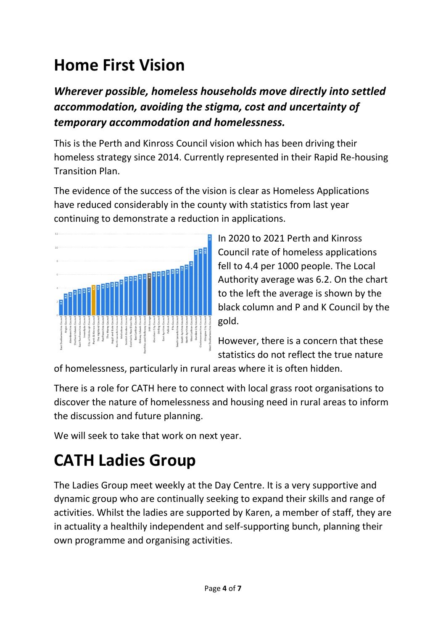## **Home First Vision**

*Wherever possible, homeless households move directly into settled accommodation, avoiding the stigma, cost and uncertainty of temporary accommodation and homelessness.*

This is the Perth and Kinross Council vision which has been driving their homeless strategy since 2014. Currently represented in their Rapid Re-housing Transition Plan.

The evidence of the success of the vision is clear as Homeless Applications have reduced considerably in the county with statistics from last year continuing to demonstrate a reduction in applications.



In 2020 to 2021 Perth and Kinross Council rate of homeless applications fell to 4.4 per 1000 people. The Local Authority average was 6.2. On the chart to the left the average is shown by the black column and P and K Council by the gold.

However, there is a concern that these statistics do not reflect the true nature

of homelessness, particularly in rural areas where it is often hidden.

There is a role for CATH here to connect with local grass root organisations to discover the nature of homelessness and housing need in rural areas to inform the discussion and future planning.

We will seek to take that work on next year.

# **CATH Ladies Group**

The Ladies Group meet weekly at the Day Centre. It is a very supportive and dynamic group who are continually seeking to expand their skills and range of activities. Whilst the ladies are supported by Karen, a member of staff, they are in actuality a healthily independent and self-supporting bunch, planning their own programme and organising activities.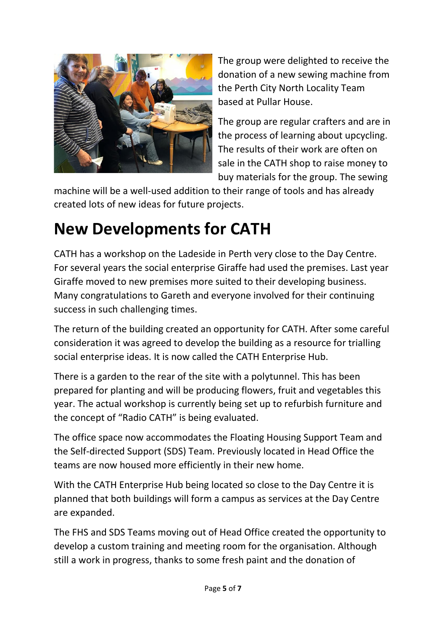

The group were delighted to receive the donation of a new sewing machine from the Perth City North Locality Team based at Pullar House.

The group are regular crafters and are in the process of learning about upcycling. The results of their work are often on sale in the CATH shop to raise money to buy materials for the group. The sewing

machine will be a well-used addition to their range of tools and has already created lots of new ideas for future projects.

## **New Developments for CATH**

CATH has a workshop on the Ladeside in Perth very close to the Day Centre. For several years the social enterprise Giraffe had used the premises. Last year Giraffe moved to new premises more suited to their developing business. Many congratulations to Gareth and everyone involved for their continuing success in such challenging times.

The return of the building created an opportunity for CATH. After some careful consideration it was agreed to develop the building as a resource for trialling social enterprise ideas. It is now called the CATH Enterprise Hub.

There is a garden to the rear of the site with a polytunnel. This has been prepared for planting and will be producing flowers, fruit and vegetables this year. The actual workshop is currently being set up to refurbish furniture and the concept of "Radio CATH" is being evaluated.

The office space now accommodates the Floating Housing Support Team and the Self-directed Support (SDS) Team. Previously located in Head Office the teams are now housed more efficiently in their new home.

With the CATH Enterprise Hub being located so close to the Day Centre it is planned that both buildings will form a campus as services at the Day Centre are expanded.

The FHS and SDS Teams moving out of Head Office created the opportunity to develop a custom training and meeting room for the organisation. Although still a work in progress, thanks to some fresh paint and the donation of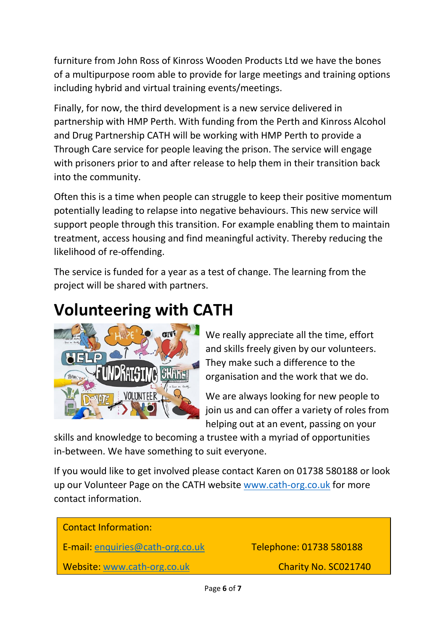furniture from John Ross of Kinross Wooden Products Ltd we have the bones of a multipurpose room able to provide for large meetings and training options including hybrid and virtual training events/meetings.

Finally, for now, the third development is a new service delivered in partnership with HMP Perth. With funding from the Perth and Kinross Alcohol and Drug Partnership CATH will be working with HMP Perth to provide a Through Care service for people leaving the prison. The service will engage with prisoners prior to and after release to help them in their transition back into the community.

Often this is a time when people can struggle to keep their positive momentum potentially leading to relapse into negative behaviours. This new service will support people through this transition. For example enabling them to maintain treatment, access housing and find meaningful activity. Thereby reducing the likelihood of re-offending.

The service is funded for a year as a test of change. The learning from the project will be shared with partners.

#### **Volunteering with CATH**



We really appreciate all the time, effort and skills freely given by our volunteers. They make such a difference to the organisation and the work that we do.

We are always looking for new people to join us and can offer a variety of roles from helping out at an event, passing on your

skills and knowledge to becoming a trustee with a myriad of opportunities in-between. We have something to suit everyone.

If you would like to get involved please contact Karen on 01738 580188 or look up our Volunteer Page on the CATH website [www.cath-org.co.uk](http://www.cath-org.co.uk/) for more contact information.

| Telephone: 01738 580188 |
|-------------------------|
| Charity No. SC021740    |
|                         |